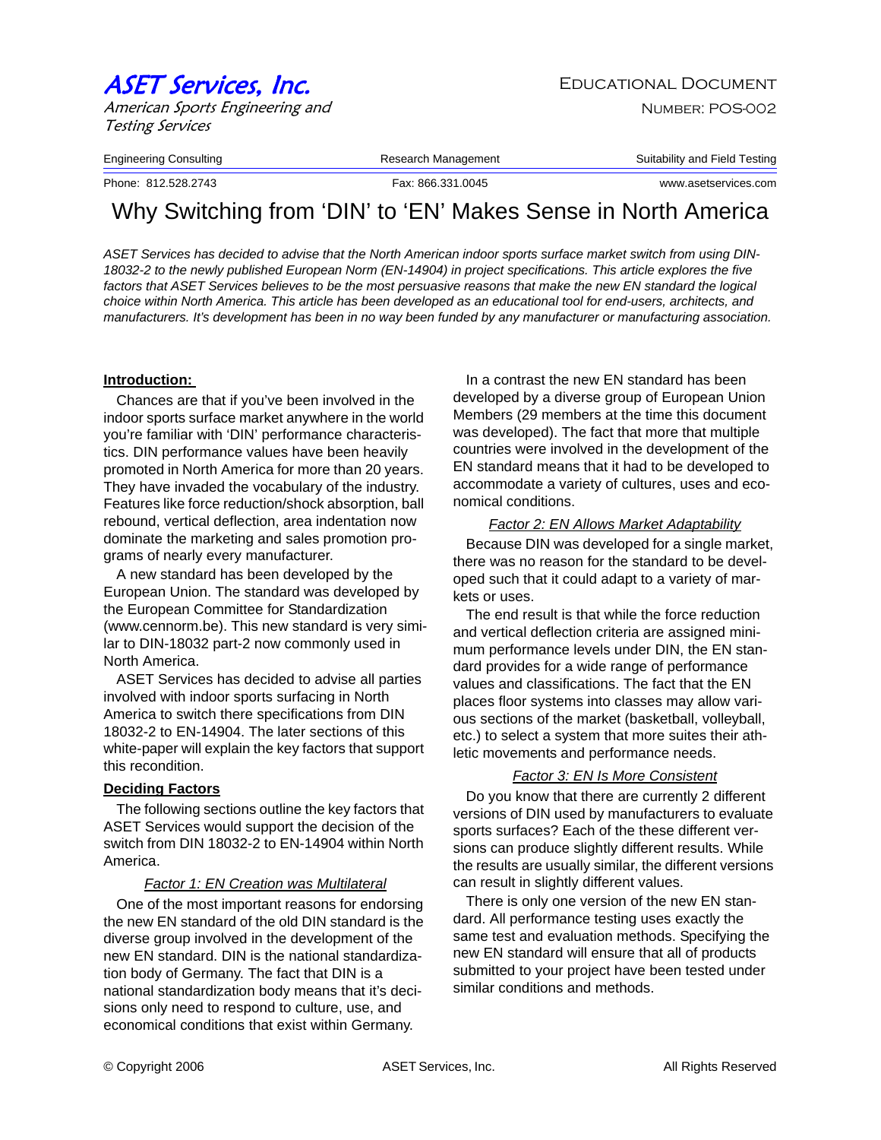# ASET Services, Inc. The Services of the Educational Document

American Sports Engineering and Testing Services

Engineering Consulting The Research Management Consulting Suitability and Field Testing

Phone: 812.528.2743 Fax: 866.331.0045 www.asetservices.com

## Why Switching from 'DIN' to 'EN' Makes Sense in North America

*ASET Services has decided to advise that the North American indoor sports surface market switch from using DIN-18032-2 to the newly published European Norm (EN-14904) in project specifications. This article explores the five*  factors that ASET Services believes to be the most persuasive reasons that make the new EN standard the logical *choice within North America. This article has been developed as an educational tool for end-users, architects, and manufacturers. It's development has been in no way been funded by any manufacturer or manufacturing association.* 

#### **Introduction:**

Chances are that if you've been involved in the indoor sports surface market anywhere in the world you're familiar with 'DIN' performance characteristics. DIN performance values have been heavily promoted in North America for more than 20 years. They have invaded the vocabulary of the industry. Features like force reduction/shock absorption, ball rebound, vertical deflection, area indentation now dominate the marketing and sales promotion programs of nearly every manufacturer.

A new standard has been developed by the European Union. The standard was developed by the European Committee for Standardization (www.cennorm.be). This new standard is very similar to DIN-18032 part-2 now commonly used in North America.

ASET Services has decided to advise all parties involved with indoor sports surfacing in North America to switch there specifications from DIN 18032-2 to EN-14904. The later sections of this white-paper will explain the key factors that support this recondition.

#### **Deciding Factors**

The following sections outline the key factors that ASET Services would support the decision of the switch from DIN 18032-2 to EN-14904 within North America.

#### *Factor 1: EN Creation was Multilateral*

One of the most important reasons for endorsing the new EN standard of the old DIN standard is the diverse group involved in the development of the new EN standard. DIN is the national standardization body of Germany. The fact that DIN is a national standardization body means that it's decisions only need to respond to culture, use, and economical conditions that exist within Germany.

In a contrast the new EN standard has been developed by a diverse group of European Union Members (29 members at the time this document was developed). The fact that more that multiple countries were involved in the development of the EN standard means that it had to be developed to accommodate a variety of cultures, uses and economical conditions.

#### *Factor 2: EN Allows Market Adaptability*

Because DIN was developed for a single market, there was no reason for the standard to be developed such that it could adapt to a variety of markets or uses.

The end result is that while the force reduction and vertical deflection criteria are assigned minimum performance levels under DIN, the EN standard provides for a wide range of performance values and classifications. The fact that the EN places floor systems into classes may allow various sections of the market (basketball, volleyball, etc.) to select a system that more suites their athletic movements and performance needs.

#### *Factor 3: EN Is More Consistent*

Do you know that there are currently 2 different versions of DIN used by manufacturers to evaluate sports surfaces? Each of the these different versions can produce slightly different results. While the results are usually similar, the different versions can result in slightly different values.

There is only one version of the new EN standard. All performance testing uses exactly the same test and evaluation methods. Specifying the new EN standard will ensure that all of products submitted to your project have been tested under similar conditions and methods.